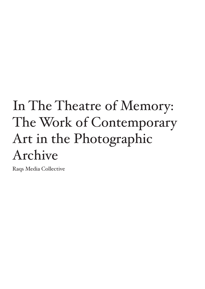# In The Theatre of Memory: The Work of Contemporary Art in the Photographic Archive

Raqs Media Collective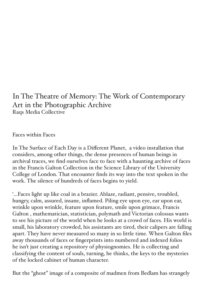# In The Theatre of Memory: The Work of Contemporary Art in the Photographic Archive Raqs Media Collective

Faces within Faces

In The Surface of Each Day is a Different Planet, a video installation that considers, among other things, the dense presences of human beings in archival traces, we find ourselves face to face with a haunting archive of faces in the Francis Galton Collection in the Science Library of the University College of London. That encounter finds its way into the text spoken in the work. The silence of hundreds of faces begins to yield.

'...Faces light up like coal in a brazier. Ablaze, radiant, pensive, troubled, hungry, calm, assured, insane, inflamed. Piling eye upon eye, ear upon ear, wrinkle upon wrinkle, feature upon feature, smile upon grimace, Francis Galton , mathematician, statistician, polymath and Victorian colossus wants to see his picture of the world when he looks at a crowd of faces. His world is small, his laboratory crowded, his assistants are tired, their calipers are falling apart. They have never measured so many in so little time. When Galton files away thousands of faces or fingerprints into numbered and indexed folios he isn't just creating a repository of physiognomies. He is collecting and classifying the content of souls, turning, he thinks, the keys to the mysteries of the locked cabinet of human character.

But the "ghost" image of a composite of madmen from Bedlam has strangely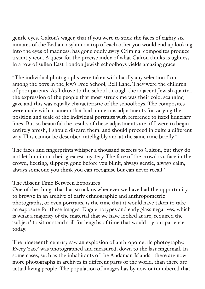gentle eyes. Galton's wager, that if you were to stick the faces of eighty six inmates of the Bedlam asylum on top of each other you would end up looking into the eyes of madness, has gone oddly awry. Criminal composites produce a saintly icon. A quest for the precise index of what Galton thinks is ugliness in a row of sullen East London Jewish schoolboys yields amazing grace.

"The individual photographs were taken with hardly any selection from among the boys in the Jew's Free School, Bell Lane. They were the children of poor parents. As I drove to the school through the adjacent Jewish quarter, the expression of the people that most struck me was their cold, scanning gaze and this was equally characteristic of the schoolboys. The composites were made with a camera that had numerous adjustments for varying the position and scale of the individual portraits with reference to fixed fiduciary lines, But so beautiful the results of these adjustments are, if I were to begin entirely afresh, I should discard them, and should proceed in quite a different way. This cannot be described intelligibly and at the same time briefly."

The faces and fingerprints whisper a thousand secrets to Galton, but they do not let him in on their greatest mystery. The face of the crowd is a face in the crowd, fleeting, slippery, gone before you blink, always gentle, always calm, always someone you think you can recognise but can never recall.'

## The Absent Time Between Exposures

One of the things that has struck us whenever we have had the opportunity to browse in an archive of early ethnographic and anthropometric photographs, or even portraits, is the time that it would have taken to take an exposure for these images. Daguerrotypes and early glass negatives, which is what a majority of the material that we have looked at are, required the 'subject' to sit or stand still for lengths of time that would try our patience today.

The nineteenth century saw an explosion of anthropometric photography. Every 'race' was photographed and measured, down to the last fingernail. In some cases, such as the inhabitants of the Andaman Islands, there are now more photographs in archives in different parts of the world, than there are actual living people. The population of images has by now outnumbered that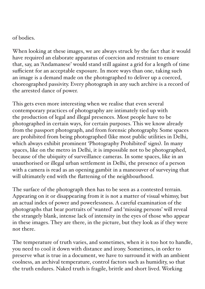#### of bodies.

When looking at these images, we are always struck by the fact that it would have required an elaborate apparatus of coercion and restraint to ensure that, say, an 'Andamanese' would stand still against a grid for a length of time sufficient for an acceptable exposure. In more ways than one, taking such an image is a demand made on the photographed to deliver up a coerced, choreographed passivity. Every photograph in any such archive is a record of the arrested dance of power.

This gets even more interesting when we realise that even several contemporary practices of photography are intimately tied up with the production of legal and illegal presences. Most people have to be photographed in certain ways, for certain purposes. This we know already from the passport photograph, and from forensic photography. Some spaces are prohibited from being photographed (like most public utilities in Delhi, which always exhibit prominent 'Photography Prohibited' signs). In many spaces, like on the metro in Delhi, it is impossible not to be photographed, because of the ubiquity of surveillance cameras. In some spaces, like in an unauthorised or illegal urban settlement in Delhi, the presence of a person with a camera is read as an opening gambit in a maneouver of surveying that will ultimately end with the flattening of the neighbourhood.

The surface of the photograph then has to be seen as a contested terrain. Appearing on it or disappearing from it is not a matter of visual whimsy, but an actual index of power and powerlessness. A careful examination of the photographs that bear portraits of 'wanted' and 'missing persons' will reveal the strangely blank, intense lack of intensity in the eyes of those who appear in these images. They are there, in the picture, but they look as if they were not there.

The temperature of truth varies, and sometimes, when it is too hot to handle, you need to cool it down with distance and irony. Sometimes, in order to preserve what is true in a document, we have to surround it with an ambient coolness, an archival temperature, control factors such as humidity, so that the truth endures. Naked truth is fragile, brittle and short lived. Working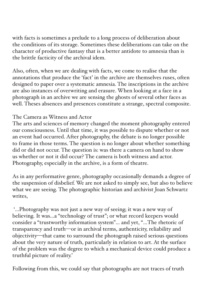with facts is sometimes a prelude to a long process of deliberation about the conditions of its storage. Sometimes these deliberations can take on the character of productive fantasy that is a better antidote to amnesia than is the brittle facticity of the archival idem.

Also, often, when we are dealing with facts, we come to realise that the annotations that produce the 'fact' in the archive are themselves ruses, often designed to paper over a systematic amnesia. The inscriptions in the archive are also instances of overwriting and erasure. When looking at a face in a photograph in an archive we are sensing the ghosts of several other faces as well. Theses absences and presences constitute a strange, spectral composite.

### The Camera as Witness and Actor

The arts and sciences of memory changed the moment photography entered our consciousness. Until that time, it was possible to dispute whether or not an event had occurred. After photography, the debate is no longer possible to frame in those terms. The question is no longer about whether something did or did not occur. The question is: was there a camera on hand to show us whether or not it did occur? The camera is both witness and actor. Photography, especially in the archive, is a form of theatre.

As in any performative genre, photography occasionally demands a degree of the suspension of disbelief. We are not asked to simply see, but also to believe what we are seeing. The photographic historian and archivist Joan Schwartz writes,

 '…Photography was not just a new way of seeing; it was a new way of believing. It was…a "technology of trust"; or what record keepers would consider a "trustworthy information system"… and yet, "…The rhetoric of transparency and truth—or in archival terms, authenticity, reliability and objectivity—that came to surround the photograph raised serious questions about the very nature of truth, particularly in relation to art. At the surface of the problem was the degree to which a mechanical device could produce a truthful picture of reality.'

Following from this, we could say that photographs are not traces of truth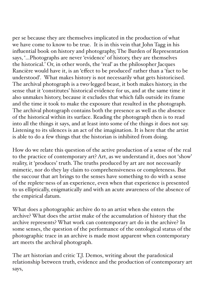per se because they are themselves implicated in the production of what we have come to know to be true. It is in this vein that John Tagg in his influential book on history and photography, The Burden of Representation says, '…Photographs are never 'evidence' of history, they are themselves the historical.' Or, in other words, the 'real' as the philosopher Jacques Rancière would have it, is an 'effect to be produced' rather than a 'fact to be understood'. What makes history is not necessarily what gets historicised. The archival photograph is a two-legged beast, it both makes history, in the sense that it 'constitutes' historical evidence for us, and at the same time it also unmakes history, because it excludes that which falls outside its frame and the time it took to make the exposure that resulted in the photograph. The archival photograph contains both the presence as well as the absence of the historical within its surface. Reading the photograph then is to read into all the things it says, and at least into some of the things it does not say. Listening to its silences is an act of the imagination. It is here that the artist is able to do a few things that the historian is inhibited from doing.

How do we relate this question of the active production of a sense of the real to the practice of contemporary art? Art, as we understand it, does not 'show' reality, it 'produces' truth. The truths produced by art are not necessarily mimetic, nor do they lay claim to comprehensiveness or completeness. But the succour that art brings to the senses have something to do with a sense of the replete-ness of an experience, even when that experience is presented to us elliptically, enigmatically and with an acute awareness of the absence of the empirical datum.

What does a photographic archive do to an artist when she enters the archive? What does the artist make of the accumulation of history that the archive represents? What work can contemporary art do in the archive? In some senses, the question of the performance of the ontological status of the photographic trace in an archive is made most apparent when contemporary art meets the archival photograph.

The art historian and critic T.J. Demos, writing about the paradoxical relationship between truth, evidence and the production of contemporary art says,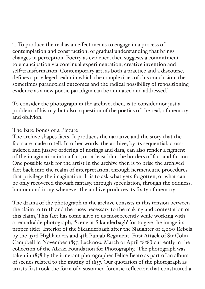'…To produce the real as an effect means to engage in a process of contemplation and construction, of gradual understanding that brings changes in perception. Poetry as evidence, then suggests a commitment to emancipation via continual experimentation, creative invention and self-transformation. Contemporary art, as both a practice and a discourse, defines a privileged realm in which the complexities of this conclusion, the sometimes paradoxical outcomes and the radical possibility of repositioning evidence as a new poetic paradigm can be animated and addressed.'

To consider the photograph in the archive, then, is to consider not just a problem of history, but also a question of the poetics of the real, of memory and oblivion.

#### The Bare Bones of a Picture

The archive shapes facts. It produces the narrative and the story that the facts are made to tell. In other words, the archive, by its sequential, crossindexed and jussive ordering of notings and data, can also render a figment of the imagination into a fact, or at least blur the borders of fact and fiction. One possible task for the artist in the archive then is to prise the archived fact back into the realm of interpretation, through hermeneutic procedures that privilege the imagination. It is to ask what gets forgotten, or what can be only recovered through fantasy, through speculation, through the oddness, humour and irony, whenever the archive produces its fixity of memory.

The drama of the photograph in the archive consists in this tension between the claim to truth and the ruses necessary to the making and contestation of this claim, This fact has come alive to us most recently while working with a remarkable photograph, 'Scene at Sikanderbagh' (or to give the image its proper title: 'Interior of the Sikanderbagh after the Slaughter of 2,000 Rebels by the 93rd Highlanders and 4th Punjab Regiment. First Attack of Sir Colin Campbell in November 1857, Lucknow, March or April 1858') currently in the collection of the Alkazi Foundation for Photography. The photograph was taken in 1858 by the itinerant photographer Felice Beato as part of an album of scenes related to the mutiny of 1857. Our quotation of the photograph as artists first took the form of a sustained forensic reflection that constituted a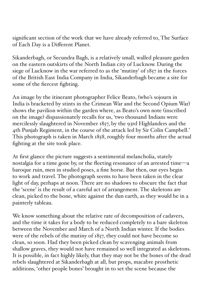significant section of the work that we have already referred to, The Surface of Each Day is a Different Planet.

Sikanderbagh, or Secundra Bagh, is a relatively small, walled pleasure garden on the eastern outskirts of the North Indian city of Lucknow. During the siege of Lucknow in the war referred to as the 'mutiny' of 1857 in the forces of the British East India Company in India, Sikanderbagh became a site for some of the fiercest fighting.

An image by the itinerant photographer Felice Beato, (who's sojourn in India is bracketed by stints in the Crimean War and the Second Opium War) shows the pavilion within the garden where, as Beato's own note (inscribed on the image) dispassionately recalls for us, 'two thousand Indians were mercilessly slaughtered in November 1857, by the 93rd Highlanders and the 4th Punjab Regiment, in the course of the attack led by Sir Colin Campbell.' This photograph is taken in March 1858, roughly four months after the actual fighting at the site took place.

At first glance the picture suggests a sentimental melancholia, stately nostalgia for a time gone by, or the fleeting resonance of an arrested time—a baroque ruin, men in studied poses, a fine horse. But then, our eyes begin to work and travel. The photograph seems to have been taken in the clear light of day, perhaps at noon. There are no shadows to obscure the fact that the 'scene' is the result of a careful act of arrangement. The skeletons are clean, picked to the bone, white against the dun earth, as they would be in a painterly tableau.

We know something about the relative rate of decomposition of cadavers, and the time it takes for a body to be reduced completely to a bare skeleton between the November and March of a North Indian winter. If the bodies were of the rebels of the mutiny of 1857, they could not have become so clean, so soon. Had they been picked clean by scavenging animals from shallow graves, they would not have remained so well integrated as skeletons. It is possible, in fact highly likely, that they may not be the bones of the dead rebels slaughtered at Sikanderbagh at all, but props, macabre prosthetic additions, 'other people bones' brought in to set the scene because the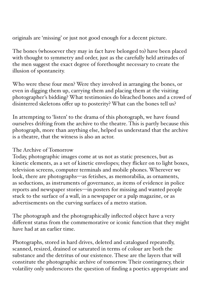originals are 'missing' or just not good enough for a decent picture.

The bones (whosoever they may in fact have belonged to) have been placed with thought to symmetry and order, just as the carefully held attitudes of the men suggest the exact degree of forethought necessary to create the illusion of spontaneity.

Who were these four men? Were they involved in arranging the bones, or even in digging them up, carrying them and placing them at the visiting photographer's bidding? What testimonies do bleached bones and a crowd of disinterred skeletons offer up to posterity? What can the bones tell us?

In attempting to 'listen' to the drama of this photograph, we have found ourselves drifting from the archive to the theatre. This is partly because this photograph, more than anything else, helped us understand that the archive is a theatre, that the witness is also an actor.

#### The Archive of Tomorrow

Today, photographic images come at us not as static presences, but as kinetic elements, as a set of kinetic envelopes; they flicker on to light boxes, television screens, computer terminals and mobile phones. Wherever we look, there are photographs—as fetishes, as memorabilia, as ornaments, as seductions, as instruments of governance, as items of evidence in police reports and newspaper stories—in posters for missing and wanted people stuck to the surface of a wall, in a newspaper or a pulp magazine, or as advertisements on the curving surfaces of a metro station.

The photograph and the photographically inflected object have a very different status from the commemorative or iconic function that they might have had at an earlier time.

Photographs, stored in hard drives, deleted and catalogued repeatedly, scanned, resized, drained or saturated in terms of colour are both the substance and the detritus of our existence. These are the layers that will constitute the photographic archive of tomorrow. Their contingency, their volatility only underscores the question of finding a poetics appropriate and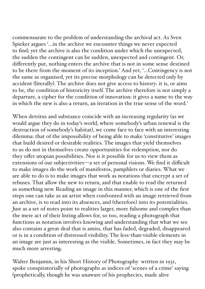commensurate to the problem of understanding the archival act. As Sven Spieker argues '…in the archive we encounter things we never expected to find; yet the archive is also the condition under which the unexpected, the sudden the contingent can be sudden, unexpected and contingent. Or, differently put, nothing enters the archive that is not in some sense destined to be there from the moment of its inception.' And yet, '…Contingency is not the same as organised, yet its precise morphology can be detected only by accident (literally). The archive does not give access to history: it is, or aims to be, the condition of historicity itself. The archive therefore is not simply a departure, a cipher for the condition of innovation: it gives a name to the way in which the new is also a return, an iteration in the true sense of the word.'

When detritus and substance coincide with an increasing regularity (as we would argue they do in today's world, where somebody's urban renewal is the destruction of somebody's habitat), we come face to face with an interesting dilemma: that of the impossibility of being able to make 'constitutive' images that build desired or desirable realities. The images that yield themselves to us do not in themselves create opportunities for redemption, nor do they offer utopian possibilities. Nor is it possible for us to view them as extensions of our subjectivities—a set of personal visions. We find it difficult to make images do the work of manifestos, pamphlets or diaries. What we are able to do is to make images that work as notations that encrypt a set of rebuses. That allow the new to return, and that enable to read the returned as something new. Reading an image in this manner, which is one of the first steps one can take as an artist when confronted with an image retrieved from an archive, is to read into its absences, and (therefore) into its potentialities. Just as a set of notes point to realities larger, more fulsome and complex than the mere act of their listing allows for, so too, reading a photograph that functions as notation involves knowing and understanding that what we see also contains a great deal that is amiss, that has faded, degraded, disappeared or is in a condition of distressed visibility. The less-than-visible elements in an image are just as interesting as the visible. Sometimes, in fact they may be much more arresting.

Walter Benjamin, in his Short History of Photography written in 1931, spoke conspiratorially of photographs as indices of 'scenes of a crime' saying (prophetically, though he was unaware of his prophecies, made alive